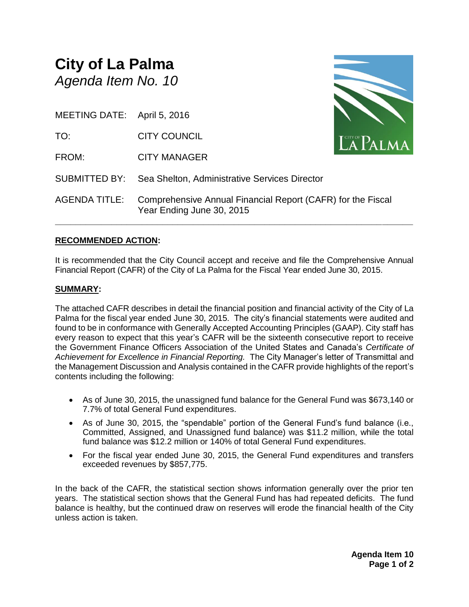## **City of La Palma** *Agenda Item No. 10*

MEETING DATE: April 5, 2016

TO: CITY COUNCIL

FROM: CITY MANAGER



AGENDA TITLE: Comprehensive Annual Financial Report (CAFR) for the Fiscal Year Ending June 30, 2015

SUBMITTED BY: Sea Shelton, Administrative Services Director

## **RECOMMENDED ACTION:**

It is recommended that the City Council accept and receive and file the Comprehensive Annual Financial Report (CAFR) of the City of La Palma for the Fiscal Year ended June 30, 2015.

**\_\_\_\_\_\_\_\_\_\_\_\_\_\_\_\_\_\_\_\_\_\_\_\_\_\_\_\_\_\_\_\_\_\_\_\_\_\_\_\_\_\_\_\_\_\_\_\_\_\_\_\_\_\_\_\_\_\_\_\_\_\_\_\_\_\_\_\_\_\_**

## **SUMMARY:**

The attached CAFR describes in detail the financial position and financial activity of the City of La Palma for the fiscal year ended June 30, 2015. The city's financial statements were audited and found to be in conformance with Generally Accepted Accounting Principles (GAAP). City staff has every reason to expect that this year's CAFR will be the sixteenth consecutive report to receive the Government Finance Officers Association of the United States and Canada's *Certificate of Achievement for Excellence in Financial Reporting.* The City Manager's letter of Transmittal and the Management Discussion and Analysis contained in the CAFR provide highlights of the report's contents including the following:

- As of June 30, 2015, the unassigned fund balance for the General Fund was \$673,140 or 7.7% of total General Fund expenditures.
- As of June 30, 2015, the "spendable" portion of the General Fund's fund balance (i.e., Committed, Assigned, and Unassigned fund balance) was \$11.2 million, while the total fund balance was \$12.2 million or 140% of total General Fund expenditures.
- For the fiscal year ended June 30, 2015, the General Fund expenditures and transfers exceeded revenues by \$857,775.

In the back of the CAFR, the statistical section shows information generally over the prior ten years. The statistical section shows that the General Fund has had repeated deficits. The fund balance is healthy, but the continued draw on reserves will erode the financial health of the City unless action is taken.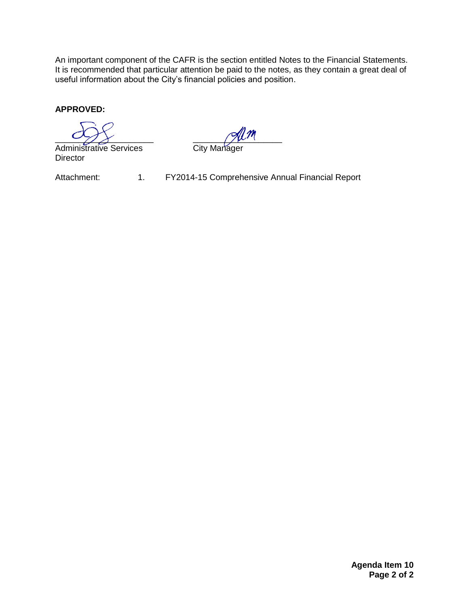An important component of the CAFR is the section entitled Notes to the Financial Statements. It is recommended that particular attention be paid to the notes, as they contain a great deal of useful information about the City's financial policies and position.

**APPROVED:**

Administrative Services City Manager **Director** 

 $\sim$  7  $\times$   $\sim$  7  $\sim$  7  $\sim$  7  $\sim$  7  $\sim$  7  $\sim$  7  $\sim$  7  $\sim$  7  $\sim$  7  $\sim$  7  $\sim$  7  $\sim$  7  $\sim$  7  $\sim$  7  $\sim$  7  $\sim$  7  $\sim$  7  $\sim$  7  $\sim$  7  $\sim$  7  $\sim$  7  $\sim$  7  $\sim$  7  $\sim$  7  $\sim$  7  $\sim$  7  $\sim$  7  $\sim$  7  $\sim$  7  $\sim$  7

Attachment: 1. FY2014-15 Comprehensive Annual Financial Report